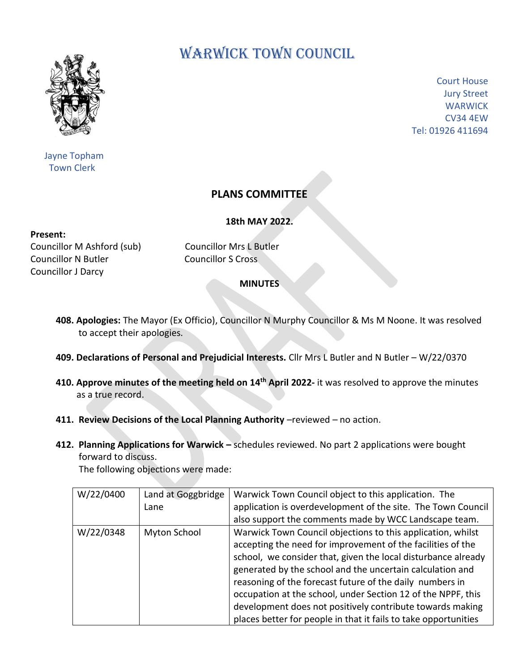

 Jayne Topham Town Clerk

## WARWICK TOWN COUNCIL

Court House Jury Street **WARWICK** CV34 4EW Tel: 01926 411694

## **PLANS COMMITTEE**

**18th MAY 2022.**

## **Present:**

Councillor M Ashford (sub) Councillor Mrs L Butler Councillor N Butler Councillor S Cross Councillor J Darcy

## **MINUTES**

- **408. Apologies:** The Mayor (Ex Officio), Councillor N Murphy Councillor & Ms M Noone. It was resolved to accept their apologies.
- **409. Declarations of Personal and Prejudicial Interests.** Cllr Mrs L Butler and N Butler W/22/0370
- **410. Approve minutes of the meeting held on 14<sup>th</sup> April 2022- it was resolved to approve the minutes**  as a true record.
	- **411. Review Decisions of the Local Planning Authority** -reviewed no action.
	- **412. Planning Applications for Warwick –** schedules reviewed. No part 2 applications were bought forward to discuss.

The following objections were made:

| W/22/0400 | Land at Goggbridge | Warwick Town Council object to this application. The            |
|-----------|--------------------|-----------------------------------------------------------------|
|           | Lane               | application is overdevelopment of the site. The Town Council    |
|           |                    | also support the comments made by WCC Landscape team.           |
| W/22/0348 | Myton School       | Warwick Town Council objections to this application, whilst     |
|           |                    | accepting the need for improvement of the facilities of the     |
|           |                    | school, we consider that, given the local disturbance already   |
|           |                    | generated by the school and the uncertain calculation and       |
|           |                    | reasoning of the forecast future of the daily numbers in        |
|           |                    | occupation at the school, under Section 12 of the NPPF, this    |
|           |                    | development does not positively contribute towards making       |
|           |                    | places better for people in that it fails to take opportunities |